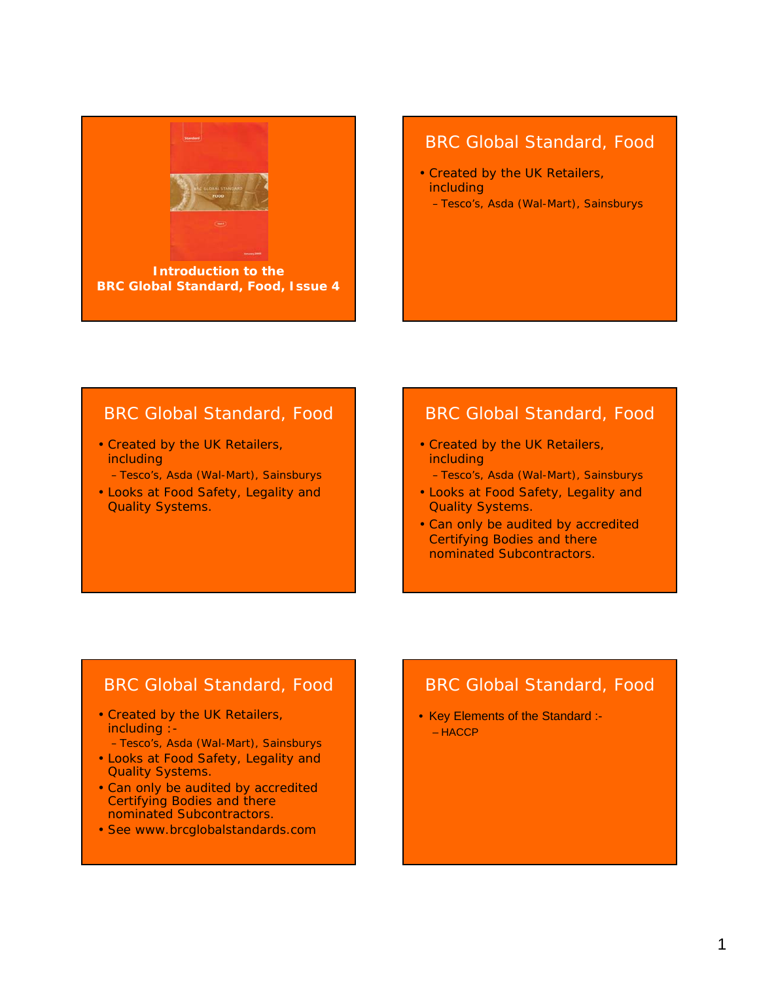

**BRC Global Standard, Food, Issue 4**

#### BRC Global Standard, Food

- Created by the UK Retailers, including
	- Tesco's, Asda (Wal-Mart), Sainsburys

## BRC Global Standard, Food

- Created by the UK Retailers, including
	- Tesco's, Asda (Wal-Mart), Sainsburys
- Looks at Food Safety, Legality and Quality Systems.

## BRC Global Standard, Food

- Created by the UK Retailers, including
	- Tesco's, Asda (Wal-Mart), Sainsburys
- Looks at Food Safety, Legality and Quality Systems.
- Can only be audited by accredited Certifying Bodies and there nominated Subcontractors.

## BRC Global Standard, Food

- Created by the UK Retailers, including :-
	- Tesco's, Asda (Wal-Mart), Sainsburys
- Looks at Food Safety, Legality and Quality Systems.
- Can only be audited by accredited Certifying Bodies and there nominated Subcontractors.
- See www.brcglobalstandards.com

## BRC Global Standard, Food

• Key Elements of the Standard :- – HACCP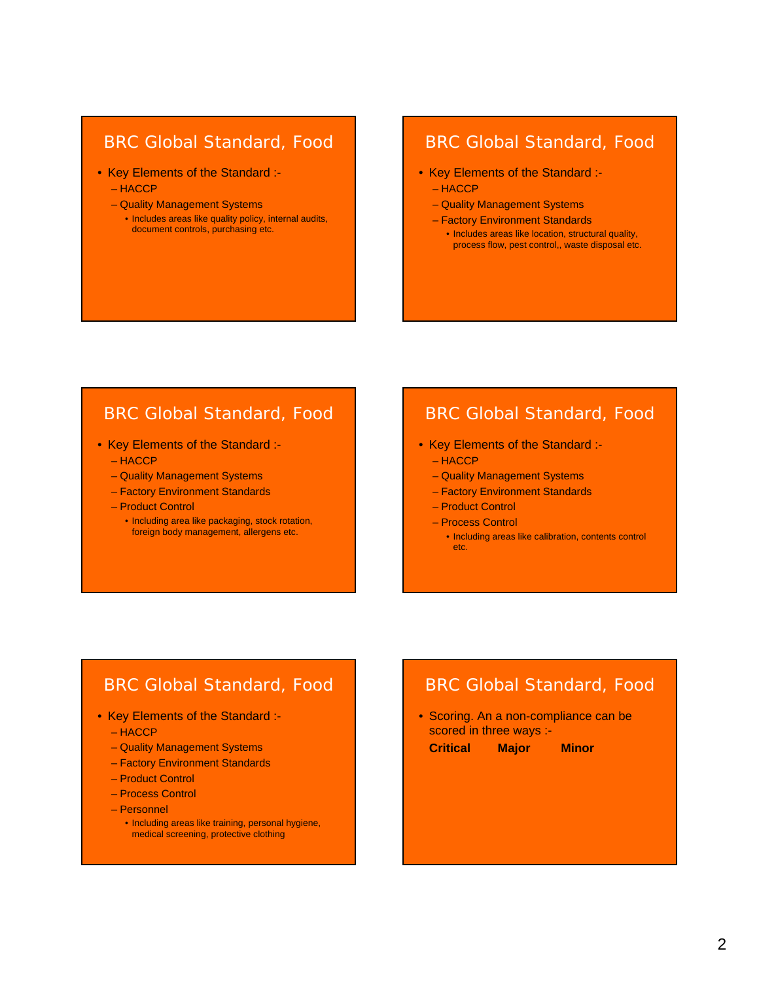### BRC Global Standard, Food

- Key Elements of the Standard :-
	- HACCP
	- Quality Management Systems
		- Includes areas like quality policy, internal audits, document controls, purchasing etc.

## BRC Global Standard, Food

- Key Elements of the Standard :-
	- HACCP
	- Quality Management Systems
	- Factory Environment Standards • Includes areas like location, structural quality, process flow, pest control,, waste disposal etc.

## BRC Global Standard, Food

- Key Elements of the Standard :-
	- HACCP
	- Quality Management Systems
	- Factory Environment Standards
	- Product Control
		- Including area like packaging, stock rotation, foreign body management, allergens etc.

## BRC Global Standard, Food

- Key Elements of the Standard :-
	- HACCP
	- Quality Management Systems
	- Factory Environment Standards
	- Product Control
	- Process Control
		- Including areas like calibration, contents control etc.

## BRC Global Standard, Food

- Key Elements of the Standard :-
	- HACCP
	- Quality Management Systems
	- Factory Environment Standards
	- Product Control
	- Process Control
	- Personnel
		- Including areas like training, personal hygiene, medical screening, protective clothing

## BRC Global Standard, Food

• Scoring. An a non-compliance can be scored in three ways :-

**Critical Major Minor**